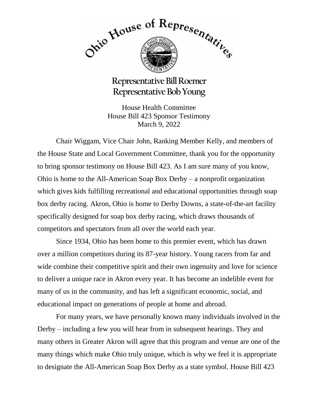

## **Representative Bill Roemer Representative Bob Young**

House Health Committee House Bill 423 Sponsor Testimony March 9, 2022

Chair Wiggam, Vice Chair John, Ranking Member Kelly, and members of the House State and Local Government Committee, thank you for the opportunity to bring sponsor testimony on House Bill 423. As I am sure many of you know, Ohio is home to the All-American Soap Box Derby – a nonprofit organization which gives kids fulfilling recreational and educational opportunities through soap box derby racing. Akron, Ohio is home to Derby Downs, a state-of-the-art facility specifically designed for soap box derby racing, which draws thousands of competitors and spectators from all over the world each year.

Since 1934, Ohio has been home to this premier event, which has drawn over a million competitors during its 87-year history. Young racers from far and wide combine their competitive spirit and their own ingenuity and love for science to deliver a unique race in Akron every year. It has become an indelible event for many of us in the community, and has left a significant economic, social, and educational impact on generations of people at home and abroad.

For many years, we have personally known many individuals involved in the Derby – including a few you will hear from in subsequent hearings. They and many others in Greater Akron will agree that this program and venue are one of the many things which make Ohio truly unique, which is why we feel it is appropriate to designate the All-American Soap Box Derby as a state symbol. House Bill 423